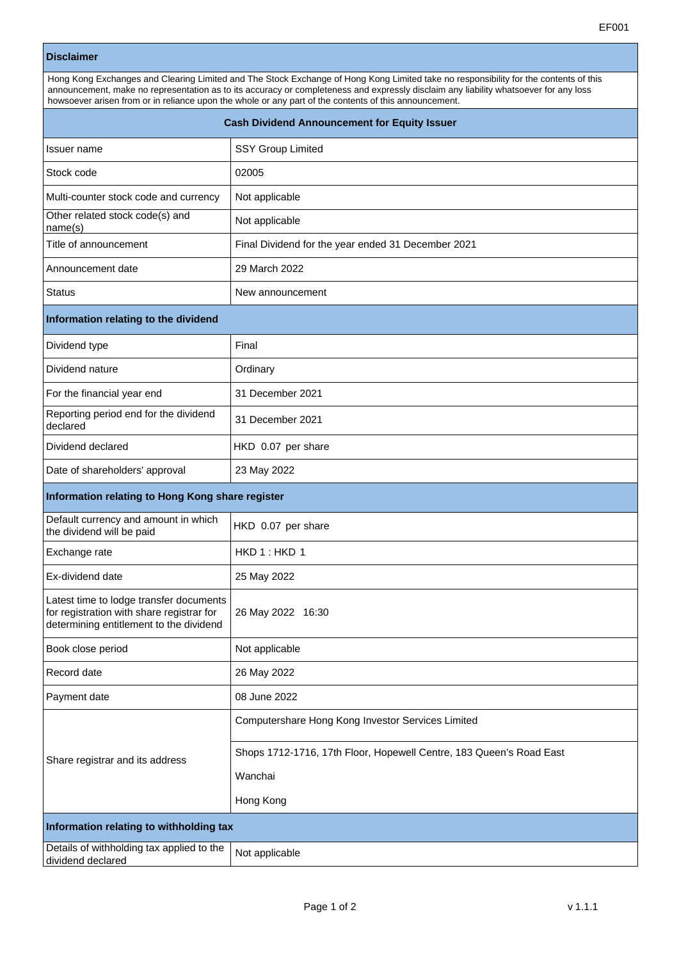## **Disclaimer**

| Hong Kong Exchanges and Clearing Limited and The Stock Exchange of Hong Kong Limited take no responsibility for the contents of this<br>announcement, make no representation as to its accuracy or completeness and expressly disclaim any liability whatsoever for any loss<br>howsoever arisen from or in reliance upon the whole or any part of the contents of this announcement. |                                                                     |  |
|---------------------------------------------------------------------------------------------------------------------------------------------------------------------------------------------------------------------------------------------------------------------------------------------------------------------------------------------------------------------------------------|---------------------------------------------------------------------|--|
| <b>Cash Dividend Announcement for Equity Issuer</b>                                                                                                                                                                                                                                                                                                                                   |                                                                     |  |
| Issuer name                                                                                                                                                                                                                                                                                                                                                                           | <b>SSY Group Limited</b>                                            |  |
| Stock code                                                                                                                                                                                                                                                                                                                                                                            | 02005                                                               |  |
| Multi-counter stock code and currency                                                                                                                                                                                                                                                                                                                                                 | Not applicable                                                      |  |
| Other related stock code(s) and<br>name(s)                                                                                                                                                                                                                                                                                                                                            | Not applicable                                                      |  |
| Title of announcement                                                                                                                                                                                                                                                                                                                                                                 | Final Dividend for the year ended 31 December 2021                  |  |
| Announcement date                                                                                                                                                                                                                                                                                                                                                                     | 29 March 2022                                                       |  |
| Status                                                                                                                                                                                                                                                                                                                                                                                | New announcement                                                    |  |
| Information relating to the dividend                                                                                                                                                                                                                                                                                                                                                  |                                                                     |  |
| Dividend type                                                                                                                                                                                                                                                                                                                                                                         | Final                                                               |  |
| Dividend nature                                                                                                                                                                                                                                                                                                                                                                       | Ordinary                                                            |  |
| For the financial year end                                                                                                                                                                                                                                                                                                                                                            | 31 December 2021                                                    |  |
| Reporting period end for the dividend<br>declared                                                                                                                                                                                                                                                                                                                                     | 31 December 2021                                                    |  |
| Dividend declared                                                                                                                                                                                                                                                                                                                                                                     | HKD 0.07 per share                                                  |  |
| Date of shareholders' approval                                                                                                                                                                                                                                                                                                                                                        | 23 May 2022                                                         |  |
| Information relating to Hong Kong share register                                                                                                                                                                                                                                                                                                                                      |                                                                     |  |
| Default currency and amount in which<br>the dividend will be paid                                                                                                                                                                                                                                                                                                                     | HKD 0.07 per share                                                  |  |
| Exchange rate                                                                                                                                                                                                                                                                                                                                                                         | HKD 1: HKD 1                                                        |  |
| Ex-dividend date                                                                                                                                                                                                                                                                                                                                                                      | 25 May 2022                                                         |  |
| Latest time to lodge transfer documents<br>for registration with share registrar for<br>determining entitlement to the dividend                                                                                                                                                                                                                                                       | 26 May 2022 16:30                                                   |  |
| Book close period                                                                                                                                                                                                                                                                                                                                                                     | Not applicable                                                      |  |
| Record date                                                                                                                                                                                                                                                                                                                                                                           | 26 May 2022                                                         |  |
| Payment date                                                                                                                                                                                                                                                                                                                                                                          | 08 June 2022                                                        |  |
| Share registrar and its address                                                                                                                                                                                                                                                                                                                                                       | Computershare Hong Kong Investor Services Limited                   |  |
|                                                                                                                                                                                                                                                                                                                                                                                       | Shops 1712-1716, 17th Floor, Hopewell Centre, 183 Queen's Road East |  |
|                                                                                                                                                                                                                                                                                                                                                                                       | Wanchai                                                             |  |
|                                                                                                                                                                                                                                                                                                                                                                                       | Hong Kong                                                           |  |
| Information relating to withholding tax                                                                                                                                                                                                                                                                                                                                               |                                                                     |  |
| Details of withholding tax applied to the<br>dividend declared                                                                                                                                                                                                                                                                                                                        | Not applicable                                                      |  |